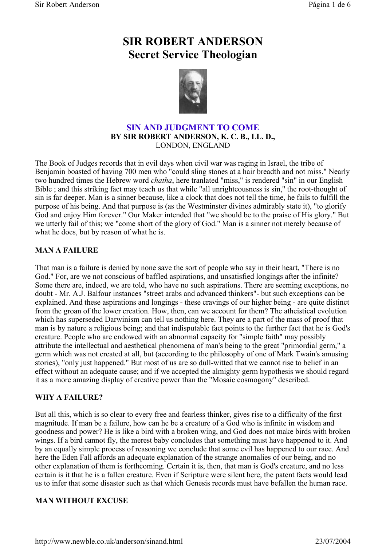# **SIR ROBERT ANDERSON Secret Service Theologian**



# **SIN AND JUDGMENT TO COME BY SIR ROBERT ANDERSON, K. C. B., LL. D.,** LONDON, ENGLAND

The Book of Judges records that in evil days when civil war was raging in Israel, the tribe of Benjamin boasted of having 700 men who "could sling stones at a hair breadth and not miss." Nearly two hundred times the Hebrew word *chatha*, here tranlated "miss," is rendered "sin" in our English Bible ; and this striking fact may teach us that while "all unrighteousness is sin,'' the root-thought of sin is far deeper. Man is a sinner because, like a clock that does not tell the time, he fails to fulfill the purpose of his being. And that purpose is (as the Westminster divines admirably state it), "to glorify God and enjoy Him forever." Our Maker intended that "we should be to the praise of His glory." But we utterly fail of this; we "come short of the glory of God." Man is a sinner not merely because of what he does, but by reason of what he is.

# **MAN A FAILURE**

That man is a failure is denied by none save the sort of people who say in their heart, "There is no God." For, are we not conscious of baffled aspirations, and unsatisfied longings after the infinite? Some there are, indeed, we are told, who have no such aspirations. There are seeming exceptions, no doubt - Mr. A.J. Balfour instances "street arabs and advanced thinkers"- but such exceptions can be explained. And these aspirations and longings - these cravings of our higher being - are quite distinct from the groan of the lower creation. How, then, can we account for them? The atheistical evolution which has superseded Darwinism can tell us nothing here. They are a part of the mass of proof that man is by nature a religious being; and that indisputable fact points to the further fact that he is God's creature. People who are endowed with an abnormal capacity for "simple faith" may possibly attribute the intellectual and aesthetical phenomena of man's being to the great "primordial germ," a germ which was not created at all, but (according to the philosophy of one of Mark Twain's amusing stories), "only just happened." But most of us are so dull-witted that we cannot rise to belief in an effect without an adequate cause; and if we accepted the almighty germ hypothesis we should regard it as a more amazing display of creative power than the "Mosaic cosmogony" described.

#### **WHY A FAILURE?**

But all this, which is so clear to every free and fearless thinker, gives rise to a difficulty of the first magnitude. If man be a failure, how can he be a creature of a God who is infinite in wisdom and goodness and power? He is like a bird with a broken wing, and God does not make birds with broken wings. If a bird cannot fly, the merest baby concludes that something must have happened to it. And by an equally simple process of reasoning we conclude that some evil has happened to our race. And here the Eden Fall affords an adequate explanation of the strange anomalies of our being, and no other explanation of them is forthcoming. Certain it is, then, that man is God's creature, and no less certain is it that he is a fallen creature. Even if Scripture were silent here, the patent facts would lead us to infer that some disaster such as that which Genesis records must have befallen the human race.

# **MAN WITHOUT EXCUSE**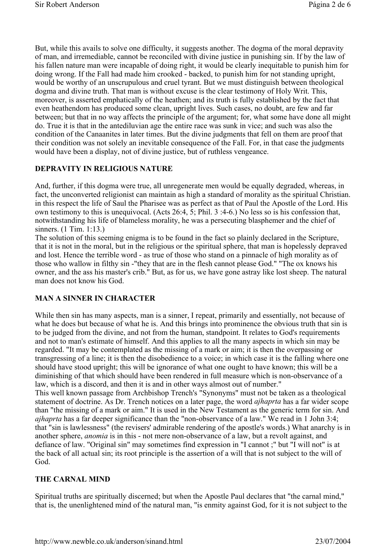But, while this avails to solve one difficulty, it suggests another. The dogma of the moral depravity of man, and irremediable, cannot be reconciled with divine justice in punishing sin. If by the law of his fallen nature man were incapable of doing right, it would be clearly inequitable to punish him for doing wrong. If the Fall had made him crooked - backed, to punish him for not standing upright, would be worthy of an unscrupulous and cruel tyrant. But we must distinguish between theological dogma and divine truth. That man is without excuse is the clear testimony of Holy Writ. This, moreover, is asserted emphatically of the heathen; and its truth is fully established by the fact that even heathendom has produced some clean, upright lives. Such cases, no doubt, are few and far between; but that in no way affects the principle of the argument; for, what some have done all might do. True it is that in the antediluvian age the entire race was sunk in vice; and such was also the condition of the Canaanites in later times. But the divine judgments that fell on them are proof that their condition was not solely an inevitable consequence of the Fall. For, in that case the judgments would have been a display, not of divine justice, but of ruthless vengeance.

# **DEPRAVITY IN RELIGIOUS NATURE**

And, further, if this dogma were true, all unregenerate men would be equally degraded, whereas, in fact, the unconverted religionist can maintain as high a standard of morality as the spiritual Christian. in this respect the life of Saul the Pharisee was as perfect as that of Paul the Apostle of the Lord. His own testimony to this is unequivocal. (Acts 26:4, 5; Phil. 3 :4-6.) No less so is his confession that, notwithstanding his life of blameless morality, he was a persecuting blasphemer and the chief of sinners. (1 Tim. 1:13.)

The solution of this seeming enigma is to be found in the fact so plainly declared in the Scripture, that it is not in the moral, but in the religious or the spiritual sphere, that man is hopelessly depraved and lost. Hence the terrible word - as true of those who stand on a pinnacle of high morality as of those who wallow in filthy sin -"they that are in the flesh cannot please God." "The ox knows his owner, and the ass his master's crib." But, as for us, we have gone astray like lost sheep. The natural man does not know his God.

#### **MAN A SINNER IN CHARACTER**

While then sin has many aspects, man is a sinner, I repeat, primarily and essentially, not because of what he does but because of what he is. And this brings into prominence the obvious truth that sin is to be judged from the divine, and not from the human, standpoint. It relates to God's requirements and not to man's estimate of himself. And this applies to all the many aspects in which sin may be regarded. "It may be contemplated as the missing of a mark or aim; it is then the overpassing or transgressing of a line; it is then the disobedience to a voice; in which case it is the falling where one should have stood upright; this will be ignorance of what one ought to have known; this will be a diminishing of that which should have been rendered in full measure which is non-observance of a law, which is a discord, and then it is and in other ways almost out of number."

This well known passage from Archbishop Trench's "Synonyms" must not be taken as a theological statement of doctrine. As Dr. Trench notices on a later page, the word *ajhaprta* has a far wider scope than "the missing of a mark or aim." It is used in the New Testament as the generic term for sin. And *ajhaprta* has a far deeper significance than the "non-observance of a law." We read in 1 John 3:4; that "sin is lawlessness" (the revisers' admirable rendering of the apostle's words.) What anarchy is in another sphere, *anomia* is in this - not mere non-observance of a law, but a revolt against, and defiance of law. "Original sin" may sometimes find expression in "I cannot ;" but "I will not" is at the back of all actual sin; its root principle is the assertion of a will that is not subject to the will of God.

# **THE CARNAL MIND**

Spiritual truths are spiritually discerned; but when the Apostle Paul declares that "the carnal mind," that is, the unenlightened mind of the natural man, "is enmity against God, for it is not subject to the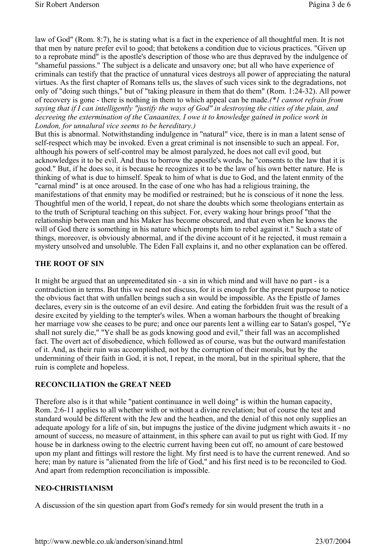law of God" (Rom. 8:7), he is stating what is a fact in the experience of all thoughtful men. It is not that men by nature prefer evil to good; that betokens a condition due to vicious practices. "Given up to a reprobate mind" is the apostle's description of those who are thus depraved by the indulgence of "shameful passions." The subject is a delicate and unsavory one; but all who have experience of criminals can testify that the practice of unnatural vices destroys all power of appreciating the natural virtues. As the first chapter of Romans tells us, the slaves of such vices sink to the degradations, not only of "doing such things," but of "taking pleasure in them that do them" (Rom. 1:24-32). All power of recovery is gone - there is nothing in them to which appeal can be made.*(\*1 cannot refrain from saying that if I can intelligently "justify the ways of God" in destroying the cities of the plain, and decreeing the extermination of the Canaanites, I owe it to knowledge gained in police work in London, for unnalural vice seems to be hereditary.)*

But this is abnormal. Notwithstanding indulgence in "natural" vice, there is in man a latent sense of self-respect which may be invoked. Even a great criminal is not insensible to such an appeal. For, although his powers of self-control may be almost paralyzed, he does not call evil good, but acknowledges it to be evil. And thus to borrow the apostle's words, he "consents to the law that it is good." But, if he does so, it is because he recognizes it to be the law of his own better nature. He is thinking of what is due to himself. Speak to him of what is due to God, and the latent enmity of the "carnal mind" is at once aroused. In the case of one who has had a religious training, the manifestations of that enmity may be modified or restrained; but he is conscious of it none the less. Thoughtful men of the world, I repeat, do not share the doubts which some theologians entertain as to the truth of Scriptural teaching on this subject. For, every waking hour brings proof "that the relationship between man and his Maker has become obscured, and that even when he knows the will of God there is something in his nature which prompts him to rebel against it." Such a state of things, moreover, is obviously abnormal, and if the divine account of it he rejected, it must remain a mystery unsolved and unsoluble. The Eden Fall explains it, and no other explanation can be offered.

# **THE ROOT OF SIN**

It might be argued that an unpremeditated sin - a sin in which mind and will have no part - is a contradiction in terms. But this we need not discuss, for it is enough for the present purpose to notice the obvious fact that with unfallen beings such a sin would be impossible. As the Epistle of James declares, every sin is the outcome of an evil desire. And eating the forbidden fruit was the result of a desire excited by yielding to the tempter's wiles. When a woman harbours the thought of breaking her marriage vow she ceases to be pure; and once our parents lent a willing ear to Satan's gospel, "Ye shall not surely die," "Ye shall be as gods knowing good and evil," their fall was an accomplished fact. The overt act of disobedience, which followed as of course, was but the outward manifestation of it. And, as their ruin was accomplished, not by the corruption of their morals, but by the undermining of their faith in God, it is not, I repeat, in the moral, but in the spiritual sphere, that the ruin is complete and hopeless.

#### **RECONCILIATION the GREAT NEED**

Therefore also is it that while "patient continuance in well doing" is within the human capacity, Rom. 2:6-11 applies to all whether with or without a divine revelation; but of course the test and standard would be different with the Jew and the heathen, and the denial of this not only supplies an adequate apology for a life of sin, but impugns the justice of the divine judgment which awaits it - no amount of success, no measure of attainment, in this sphere can avail to put us right with God. If my house be in darkness owing to the electric current having been cut off, no amount of care bestowed upon my plant and fittings will restore the light. My first need is to have the current renewed. And so here; man by nature is "alienated from the life of God," and his first need is to be reconciled to God. And apart from redemption reconciliation is impossible.

#### **NEO-CHRISTIANISM**

A discussion of the sin question apart from God's remedy for sin would present the truth in a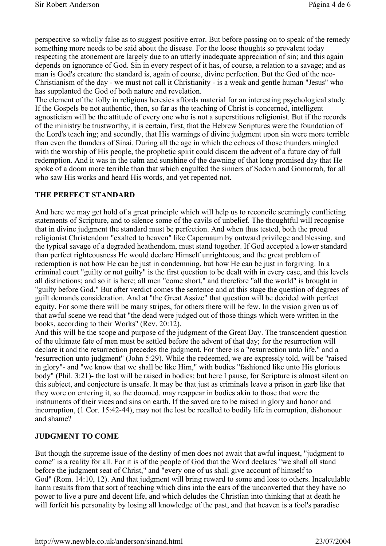perspective so wholly false as to suggest positive error. But before passing on to speak of the remedy something more needs to be said about the disease. For the loose thoughts so prevalent today respecting the atonement are largely due to an utterly inadequate appreciation of sin; and this again depends on ignorance of God. Sin in every respect of it has, of course, a relation to a savage; and as man is God's creature the standard is, again of course, divine perfection. But the God of the neo-Christianism of the day - we must not call it Christianity - is a weak and gentle human "Jesus" who has supplanted the God of both nature and revelation.

The element of the folly in religious heresies affords material for an interesting psychological study. If the Gospels be not authentic, then, so far as the teaching of Christ is concerned, intelligent agnosticism will be the attitude of every one who is not a superstitious religionist. But if the records of the ministry be trustworthy, it is certain, first, that the Hebrew Scriptures were the foundation of the Lord's teach ing; and secondly, that His warnings of divine judgment upon sin were more terrible than even the thunders of Sinai. During all the age in which the echoes of those thunders mingled with the worship of His people, the prophetic spirit could discern the advent of a future day of full redemption. And it was in the calm and sunshine of the dawning of that long promised day that He spoke of a doom more terrible than that which engulfed the sinners of Sodom and Gomorrah, for all who saw His works and heard His words, and yet repented not.

#### **THE PERFECT STANDARD**

And here we may get hold of a great principle which will help us to reconcile seemingly conflicting statements of Scripture, and to silence some of the cavils of unbelief. The thoughtful will recognise that in divine judgment the standard must be perfection. And when thus tested, both the proud religionist Christendom "exalted to heaven" like Capernaum by outward privilege and blessing, and the typical savage of a degraded heathendom, must stand together. If God accepted a lower standard than perfect righteousness He would declare Himself unrighteous; and the great problem of redemption is not how He can be just in condemning, but how He can be just in forgiving. In a criminal court "guilty or not guilty" is the first question to be dealt with in every case, and this levels all distinctions; and so it is here; all men "come short," and therefore "all the world" is brought in "guilty before God." But after verdict comes the sentence and at this stage the question of degrees of guilt demands consideration. And at "the Great Assize" that question will be decided with perfect equity. For some there will be many stripes, for others there will be few. In the vision given us of that awful scene we read that "the dead were judged out of those things which were written in the books, according to their Works" (Rev. 20:12).

And this will be the scope and purpose of the judgment of the Great Day. The transcendent question of the ultimate fate of men must be settled before the advent of that day; for the resurrection will declare it and the resurrection precedes the judgment. For there is a "resurrection unto life," and a 'resurrection unto judgment" (John 5:29). While the redeemed, we are expressly told, will be "raised in glory"- and "we know that we shall be like Him," with bodies "fashioned like unto His glorious body" (Phil. 3:21)- the lost will be raised in bodies; but here I pause, for Scripture is almost silent on this subject, and conjecture is unsafe. It may be that just as criminals leave a prison in garb like that they wore on entering it, so the doomed. may reappear in bodies akin to those that were the instruments of their vices and sins on earth. If the saved are to be raised in glory and honor and incorruption, (1 Cor. 15:42-44), may not the lost be recalled to bodily life in corruption, dishonour and shame?

# **JUDGMENT TO COME**

But though the supreme issue of the destiny of men does not await that awful inquest, "judgment to come" is a reality for all. For it is of the people of God that the Word declares "we shall all stand before the judgment seat of Christ," and "every one of us shall give account of himself to God" (Rom. 14:10, 12). And that judgment will bring reward to some and loss to others. Incalculable harm results from that sort of teaching which dins into the ears of the unconverted that they have no power to live a pure and decent life, and which deludes the Christian into thinking that at death he will forfeit his personality by losing all knowledge of the past, and that heaven is a fool's paradise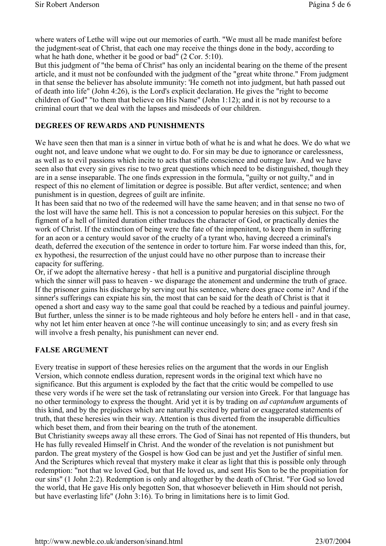where waters of Lethe will wipe out our memories of earth. "We must all be made manifest before the judgment-seat of Christ, that each one may receive the things done in the body, according to what he hath done, whether it be good or bad" (2 Cor. 5:10).

But this judgment of "the bema of Christ" has only an incidental bearing on the theme of the present article, and it must not be confounded with the judgment of the "great white throne." From judgment in that sense the believer has absolute immunity: 'He cometh not into judgment, but hath passed out of death into life" (John 4:26), is the Lord's explicit declaration. He gives the "right to become children of God" "to them that believe on His Name" (John 1:12); and it is not by recourse to a criminal court that we deal with the lapses and misdeeds of our children.

## **DEGREES OF REWARDS AND PUNISHMENTS**

We have seen then that man is a sinner in virtue both of what he is and what he does. We do what we ought not, and leave undone what we ought to do. For sin may be due to ignorance or carelessness, as well as to evil passions which incite to acts that stifle conscience and outrage law. And we have seen also that every sin gives rise to two great questions which need to be distinguished, though they are in a sense inseparable. The one finds expression in the formula, "guilty or not guilty," and in respect of this no element of limitation or degree is possible. But after verdict, sentence; and when punishment is in question, degrees of guilt are infinite.

It has been said that no two of the redeemed will have the same heaven; and in that sense no two of the lost will have the same hell. This is not a concession to popular heresies on this subject. For the figment of a hell of limited duration either traduces the character of God, or practically denies the work of Christ. If the extinction of being were the fate of the impenitent, to keep them in suffering for an aeon or a century would savor of the cruelty of a tyrant who, having decreed a criminal's death, deferred the execution of the sentence in order to torture him. Far worse indeed than this, for, ex hypothesi, the resurrection of the unjust could have no other purpose than to increase their capacity for suffering.

Or, if we adopt the alternative heresy - that hell is a punitive and purgatorial discipline through which the sinner will pass to heaven - we disparage the atonement and undermine the truth of grace. If the prisoner gains his discharge by serving out his sentence, where does grace come in? And if the sinner's sufferings can expiate his sin, the most that can be said for the death of Christ is that it opened a short and easy way to the same goal that could be reached by a tedious and painful journey. But further, unless the sinner is to be made righteous and holy before he enters hell - and in that case, why not let him enter heaven at once ?-he will continue unceasingly to sin; and as every fresh sin will involve a fresh penalty, his punishment can never end.

#### **FALSE ARGUMENT**

Every treatise in support of these heresies relies on the argument that the words in our English Version, which connote endless duration, represent words in the original text which have no significance. But this argument is exploded by the fact that the critic would be compelled to use these very words if he were set the task of retranslating our version into Greek. For that language has no other terminology to express the thought. Arid yet it is by trading on *ad captandum* arguments of this kind, and by the prejudices which are naturally excited by partial or exaggerated statements of truth, that these heresies win their way. Attention is thus diverted from the insuperable difficulties which beset them, and from their bearing on the truth of the atonement.

But Christianity sweeps away all these errors. The God of Sinai has not repented of His thunders, but He has fully revealed Himself in Christ. And the wonder of the revelation is not punishment but pardon. The great mystery of the Gospel is how God can be just and yet the Justifier of sinful men. And the Scriptures which reveal that mystery make it clear as light that this is possible only through redemption: "not that we loved God, but that He loved us, and sent His Son to be the propitiation for our sins" (1 John 2:2). Redemption is only and altogether by the death of Christ. "For God so loved the world, that He gave His only begotten Son, that whosoever believeth in Him should not perish, but have everlasting life" (John 3:16). To bring in limitations here is to limit God.